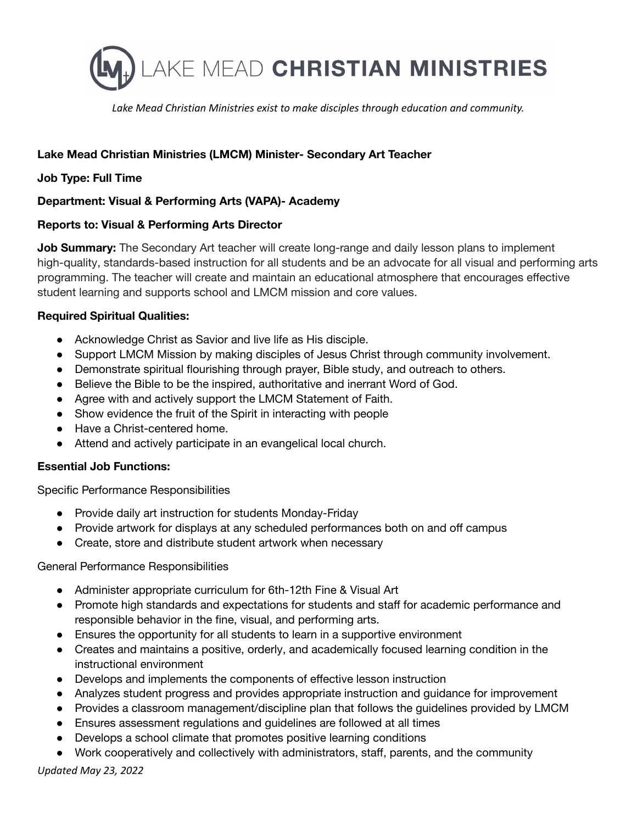

*Lake Mead Christian Ministries exist to make disciples through education and community.*

# **Lake Mead Christian Ministries (LMCM) Minister- Secondary Art Teacher**

### **Job Type: Full Time**

### **Department: Visual & Performing Arts (VAPA)- Academy**

#### **Reports to: Visual & Performing Arts Director**

**Job Summary:** The Secondary Art teacher will create long-range and daily lesson plans to implement high-quality, standards-based instruction for all students and be an advocate for all visual and performing arts programming. The teacher will create and maintain an educational atmosphere that encourages effective student learning and supports school and LMCM mission and core values.

### **Required Spiritual Qualities:**

- Acknowledge Christ as Savior and live life as His disciple.
- Support LMCM Mission by making disciples of Jesus Christ through community involvement.
- Demonstrate spiritual flourishing through prayer, Bible study, and outreach to others.
- Believe the Bible to be the inspired, authoritative and inerrant Word of God.
- Agree with and actively support the LMCM Statement of Faith.
- Show evidence the fruit of the Spirit in interacting with people
- Have a Christ-centered home.
- Attend and actively participate in an evangelical local church.

# **Essential Job Functions:**

Specific Performance Responsibilities

- Provide daily art instruction for students Monday-Friday
- Provide artwork for displays at any scheduled performances both on and off campus
- Create, store and distribute student artwork when necessary

#### General Performance Responsibilities

- Administer appropriate curriculum for 6th-12th Fine & Visual Art
- Promote high standards and expectations for students and staff for academic performance and responsible behavior in the fine, visual, and performing arts.
- Ensures the opportunity for all students to learn in a supportive environment
- Creates and maintains a positive, orderly, and academically focused learning condition in the instructional environment
- Develops and implements the components of effective lesson instruction
- Analyzes student progress and provides appropriate instruction and guidance for improvement
- Provides a classroom management/discipline plan that follows the guidelines provided by LMCM
- Ensures assessment regulations and guidelines are followed at all times
- Develops a school climate that promotes positive learning conditions
- Work cooperatively and collectively with administrators, staff, parents, and the community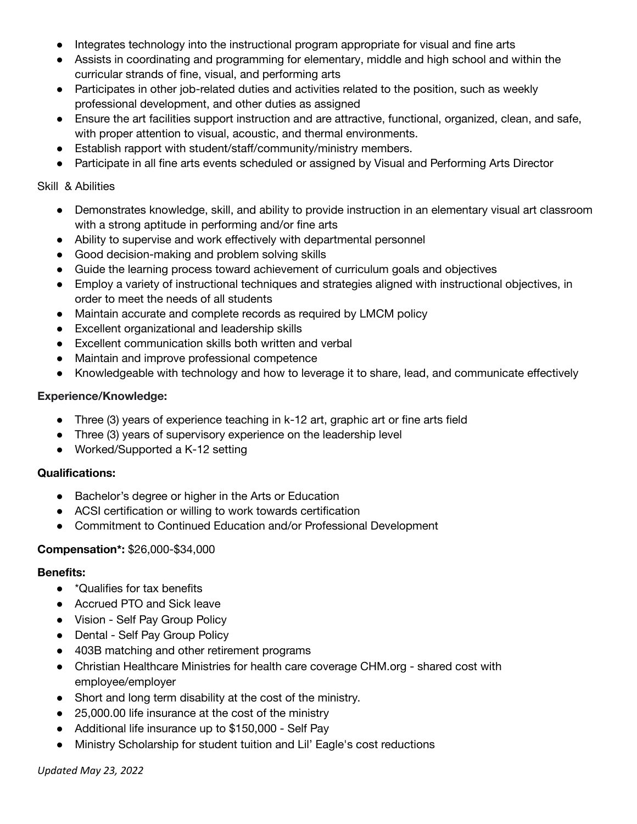- Integrates technology into the instructional program appropriate for visual and fine arts
- Assists in coordinating and programming for elementary, middle and high school and within the curricular strands of fine, visual, and performing arts
- Participates in other job-related duties and activities related to the position, such as weekly professional development, and other duties as assigned
- Ensure the art facilities support instruction and are attractive, functional, organized, clean, and safe, with proper attention to visual, acoustic, and thermal environments.
- Establish rapport with student/staff/community/ministry members.
- Participate in all fine arts events scheduled or assigned by Visual and Performing Arts Director

### Skill & Abilities

- Demonstrates knowledge, skill, and ability to provide instruction in an elementary visual art classroom with a strong aptitude in performing and/or fine arts
- Ability to supervise and work effectively with departmental personnel
- Good decision-making and problem solving skills
- Guide the learning process toward achievement of curriculum goals and objectives
- Employ a variety of instructional techniques and strategies aligned with instructional objectives, in order to meet the needs of all students
- Maintain accurate and complete records as required by LMCM policy
- Excellent organizational and leadership skills
- Excellent communication skills both written and verbal
- Maintain and improve professional competence
- Knowledgeable with technology and how to leverage it to share, lead, and communicate effectively

## **Experience/Knowledge:**

- Three (3) years of experience teaching in k-12 art, graphic art or fine arts field
- Three (3) years of supervisory experience on the leadership level
- Worked/Supported a K-12 setting

## **Qualifications:**

- Bachelor's degree or higher in the Arts or Education
- ACSI certification or willing to work towards certification
- Commitment to Continued Education and/or Professional Development

## **Compensation\*:** \$26,000-\$34,000

## **Benefits:**

- \*Qualifies for tax benefits
- Accrued PTO and Sick leave
- Vision Self Pay Group Policy
- Dental Self Pay Group Policy
- 403B matching and other retirement programs
- Christian Healthcare Ministries for health care coverage CHM.org shared cost with employee/employer
- Short and long term disability at the cost of the ministry.
- 25,000.00 life insurance at the cost of the ministry
- Additional life insurance up to \$150,000 Self Pay
- Ministry Scholarship for student tuition and Lil' Eagle's cost reductions